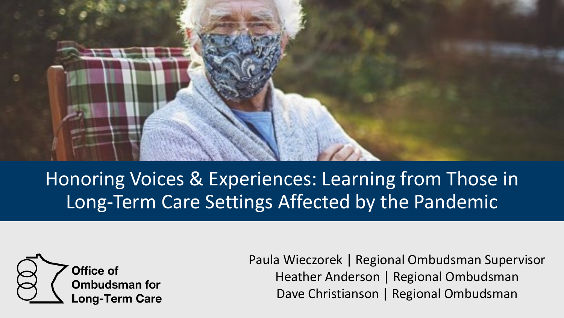

Honoring Voices & Experiences: Learning from Those in Long-Term Care Settings Affected by the Pandemic



Paula Wieczorek | Regional Ombudsman Supervisor Heather Anderson | Regional Ombudsman Dave Christianson | Regional Ombudsman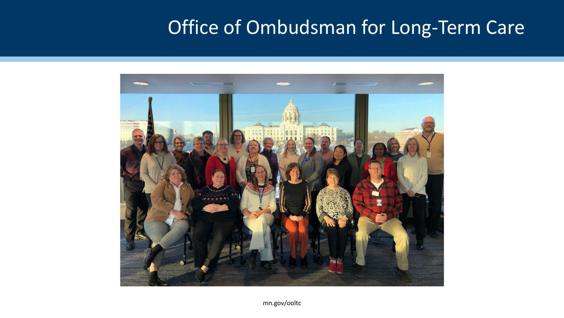### Office of Ombudsman for Long-Term Care

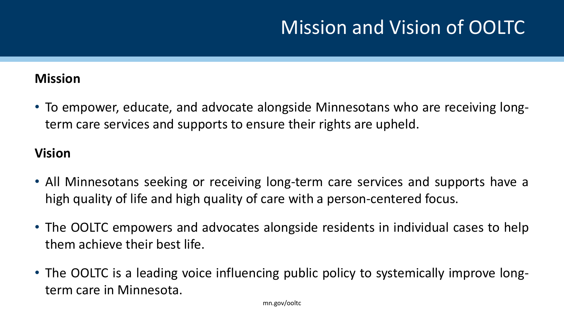## Mission and Vision of OOLTC

#### **Mission**

• To empower, educate, and advocate alongside Minnesotans who are receiving longterm care services and supports to ensure their rights are upheld.

#### **Vision**

- All Minnesotans seeking or receiving long-term care services and supports have a high quality of life and high quality of care with a person-centered focus.
- The OOLTC empowers and advocates alongside residents in individual cases to help them achieve their best life.
- The OOLTC is a leading voice influencing public policy to systemically improve longterm care in Minnesota.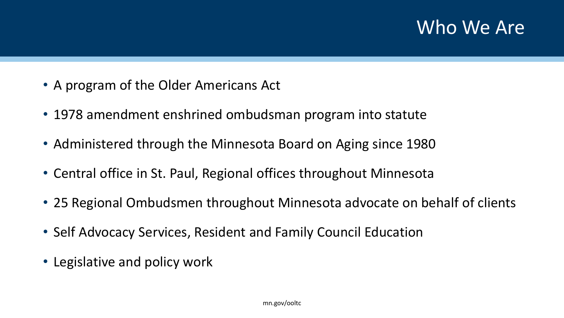#### Who We Are

- A program of the Older Americans Act
- 1978 amendment enshrined ombudsman program into statute
- Administered through the Minnesota Board on Aging since 1980
- Central office in St. Paul, Regional offices throughout Minnesota
- 25 Regional Ombudsmen throughout Minnesota advocate on behalf of clients
- Self Advocacy Services, Resident and Family Council Education
- Legislative and policy work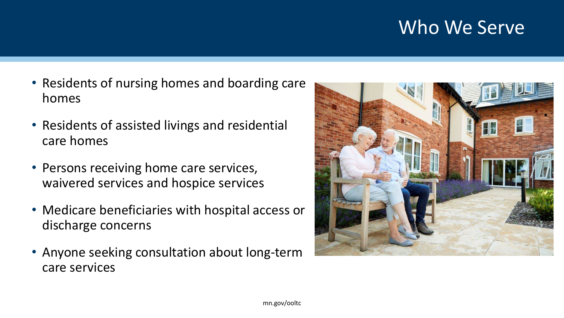#### Who We Serve

- Residents of nursing homes and boarding care homes
- Residents of assisted livings and residential care homes
- Persons receiving home care services, waivered services and hospice services
- Medicare beneficiaries with hospital access or discharge concerns
- Anyone seeking consultation about long-term care services

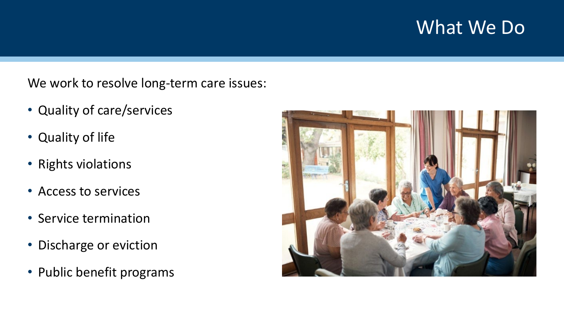#### What We Do

We work to resolve long-term care issues:

- Quality of care/services
- Quality of life
- Rights violations
- Access to services
- Service termination
- Discharge or eviction
- Public benefit programs

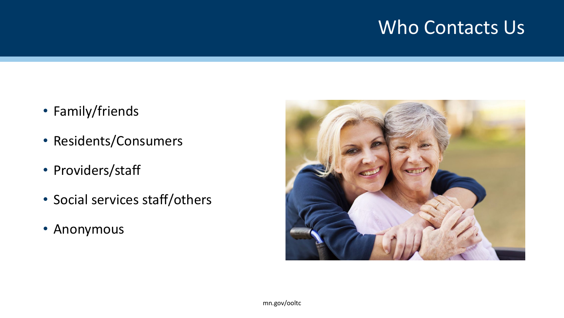#### Who Contacts Us

- Family/friends
- Residents/Consumers
- Providers/staff
- Social services staff/others
- Anonymous

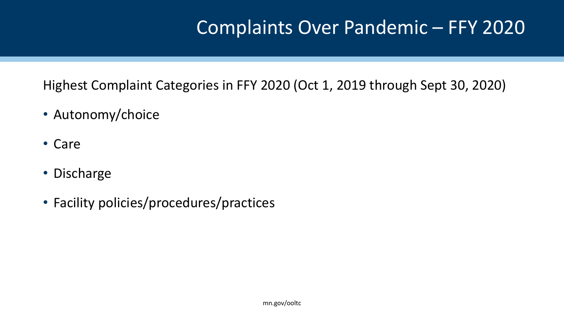#### Complaints Over Pandemic – FFY 2020

Highest Complaint Categories in FFY 2020 (Oct 1, 2019 through Sept 30, 2020)

- Autonomy/choice
- Care
- Discharge
- Facility policies/procedures/practices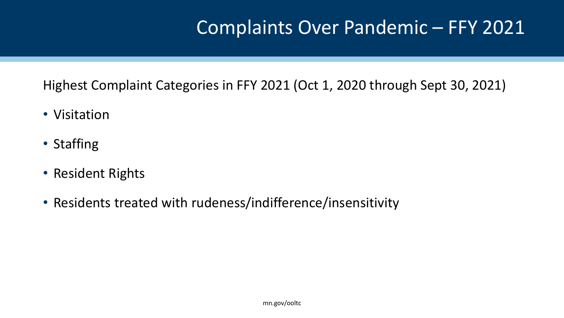#### Complaints Over Pandemic – FFY 2021

Highest Complaint Categories in FFY 2021 (Oct 1, 2020 through Sept 30, 2021)

- Visitation
- Staffing
- Resident Rights
- Residents treated with rudeness/indifference/insensitivity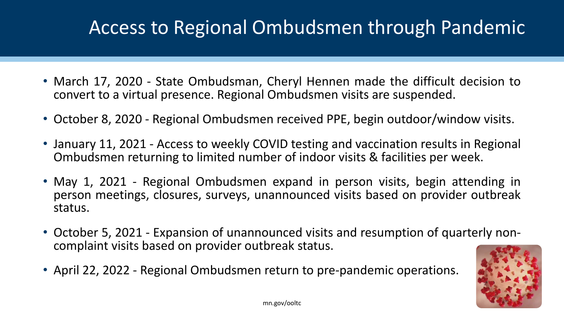## Access to Regional Ombudsmen through Pandemic

- March 17, 2020 State Ombudsman, Cheryl Hennen made the difficult decision to convert to a virtual presence. Regional Ombudsmen visits are suspended.
- October 8, 2020 Regional Ombudsmen received PPE, begin outdoor/window visits.
- January 11, 2021 Access to weekly COVID testing and vaccination results in Regional Ombudsmen returning to limited number of indoor visits & facilities per week.
- May 1, 2021 Regional Ombudsmen expand in person visits, begin attending in person meetings, closures, surveys, unannounced visits based on provider outbreak status.
- October 5, <sup>2021</sup> Expansion of unannounced visits and resumption of quarterly non- complaint visits based on provider outbreak status.
- April 22, 2022 Regional Ombudsmen return to pre-pandemic operations.

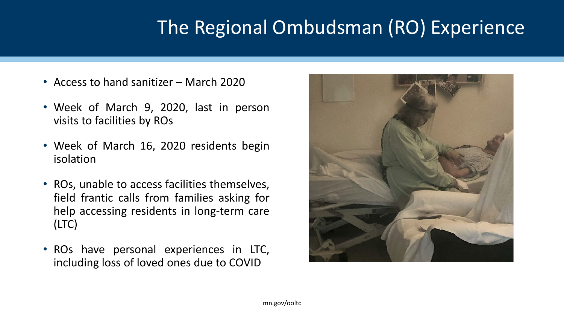## The Regional Ombudsman (RO) Experience

- Access to hand sanitizer March 2020
- Week of March 9, 2020, last in person visits to facilities by ROs
- Week of March 16, 2020 residents begin isolation
- ROs, unable to access facilities themselves, field frantic calls from families asking for help accessing residents in long-term care (LTC)
- ROs have personal experiences in LTC, including loss of loved ones due to COVID

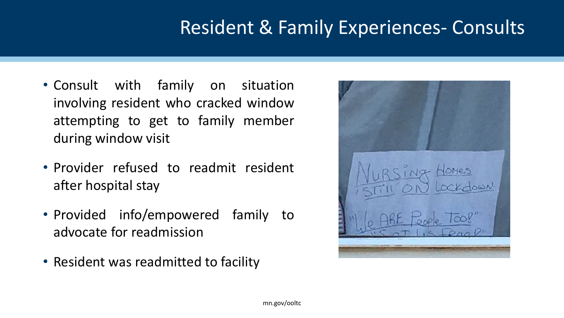### Resident & Family Experiences- Consults

- Consult with family on situation involving resident who cracked window attempting to get to family member during window visit
- Provider refused to readmit resident after hospital stay
- Provided info/empowered family to advocate for readmission
- Resident was readmitted to facility

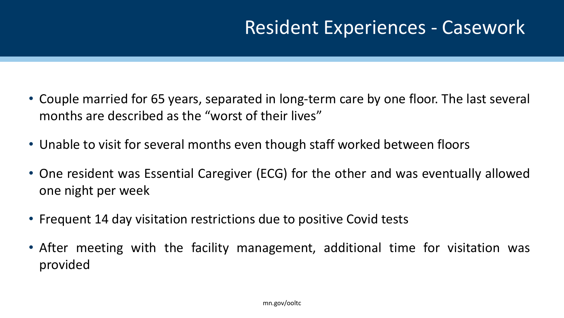### Resident Experiences - Casework

- Couple married for 65 years, separated in long-term care by one floor. The last several months are described as the "worst of their lives"
- Unable to visit for several months even though staff worked between floors
- One resident was Essential Caregiver (ECG) for the other and was eventually allowed one night per week
- Frequent 14 day visitation restrictions due to positive Covid tests
- After meeting with the facility management, additional time for visitation was provided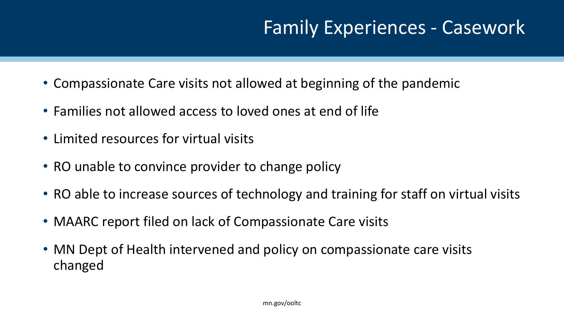### Family Experiences - Casework

- Compassionate Care visits not allowed at beginning of the pandemic
- Families not allowed access to loved ones at end of life
- Limited resources for virtual visits
- RO unable to convince provider to change policy
- RO able to increase sources of technology and training for staff on virtual visits
- MAARC report filed on lack of Compassionate Care visits
- MN Dept of Health intervened and policy on compassionate care visits changed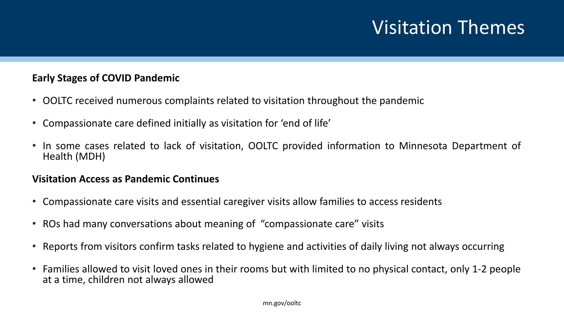### Visitation Themes

#### **Early Stages of COVID Pandemic**

- OOLTC received numerous complaints related to visitation throughout the pandemic
- Compassionate care defined initially as visitation for 'end of life'
- In some cases related to lack of visitation, OOLTC provided information to Minnesota Department of Health (MDH)

#### **Visitation Access as Pandemic Continues**

- Compassionate care visits and essential caregiver visits allow families to access residents
- ROs had many conversations about meaning of "compassionate care" visits
- Reports from visitors confirm tasks related to hygiene and activities of daily living not always occurring
- Families allowed to visit loved ones in their rooms but with limited to no physical contact, only 1-2 people at a time, children not always allowed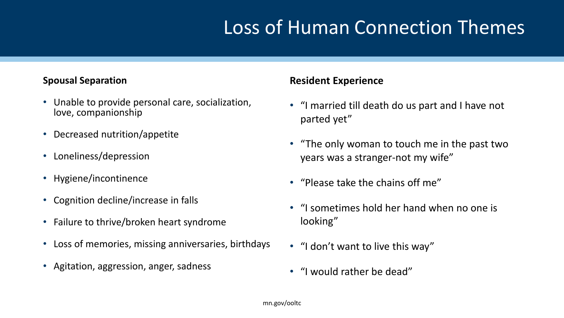# Loss of Human Connection Themes

#### **Spousal Separation**

- Unable to provide personal care, socialization, love, companionship
- Decreased nutrition/appetite
- Loneliness/depression
- Hygiene/incontinence
- Cognition decline/increase in falls
- Failure to thrive/broken heart syndrome
- Loss of memories, missing anniversaries, birthdays
- Agitation, aggression, anger, sadness

#### **Resident Experience**

- "I married till death do us part and I have not parted yet"
- "The only woman to touch me in the past two years was a stranger-not my wife"
- "Please take the chains off me"
- "I sometimes hold her hand when no one is looking"
- "I don't want to live this way"
- "I would rather be dead"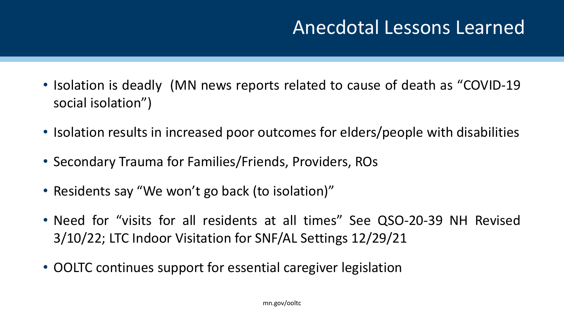#### Anecdotal Lessons Learned

- Isolation is deadly (MN news reports related to cause of death as "COVID-19" social isolation")
- Isolation results in increased poor outcomes for elders/people with disabilities
- Secondary Trauma for Families/Friends, Providers, ROs
- Residents say "We won't go back (to isolation)"
- Need for "visits for all residents at all times" See QSO-20-39 NH Revised 3/10/22; LTC Indoor Visitation for SNF/AL Settings 12/29/21
- OOLTC continues support for essential caregiver legislation